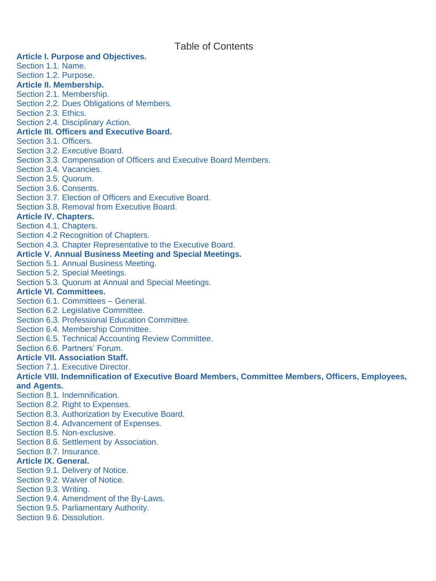Table of Contents

#### **Article I. Purpose and Objectives.** Section 1.1. Name. Section 1.2. Purpose. **Article II. Membership.** Section 2.1. Membership. Section 2.2. Dues Obligations of Members. Section 2.3. Ethics. Section 2.4. Disciplinary Action. **Article III. Officers and Executive Board.** Section 3.1. Officers. Section 3.2. Executive Board. Section 3.3. Compensation of Officers and Executive Board Members. Section 3.4. Vacancies. Section 3.5. Quorum. Section 3.6. Consents. Section 3.7. Election of Officers and Executive Board. Section 3.8. Removal from Executive Board. **Article IV. Chapters.** Section 4.1. Chapters. Section 4.2 Recognition of Chapters. Section 4.3. Chapter Representative to the Executive Board. **Article V. Annual Business Meeting and Special Meetings.** Section 5.1. Annual Business Meeting. Section 5.2. Special Meetings. Section 5.3. Quorum at Annual and Special Meetings. **Article VI. Committees.** Section 6.1. Committees – General. Section 6.2. Legislative Committee. Section 6.3. Professional Education Committee. Section 6.4. Membership Committee. Section 6.5. Technical Accounting Review Committee. Section 6.6. Partners' Forum. **Article VII. Association Staff.** Section 7.1. Executive Director. **Article VIII. Indemnification of Executive Board Members, Committee Members, Officers, Employees, and Agents.** Section 8.1. Indemnification. Section 8.2. Right to Expenses. Section 8.3. Authorization by Executive Board. Section 8.4. Advancement of Expenses. Section 8.5. Non-exclusive. Section 8.6. Settlement by Association. Section 8.7. Insurance.

**Article IX. General.**

- Section 9.1. Delivery of Notice.
- Section 9.2. Waiver of Notice.
- Section 9.3. Writing.
- Section 9.4. Amendment of the By-Laws.
- Section 9.5. Parliamentary Authority.
- Section 9.6. Dissolution.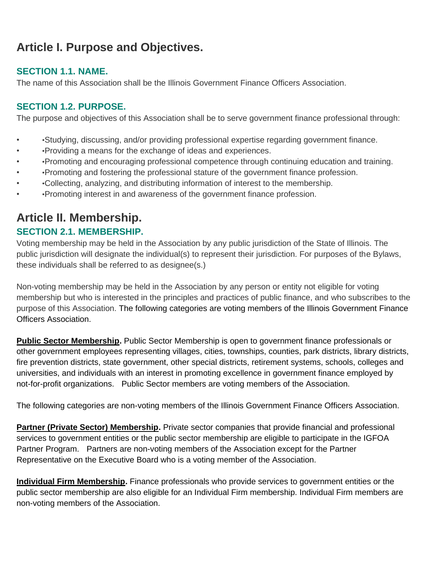# **Article I. Purpose and Objectives.**

### **SECTION 1.1. NAME.**

The name of this Association shall be the Illinois Government Finance Officers Association.

#### **SECTION 1.2. PURPOSE.**

The purpose and objectives of this Association shall be to serve government finance professional through:

- •Studying, discussing, and/or providing professional expertise regarding government finance.
- •Providing a means for the exchange of ideas and experiences.
- •Promoting and encouraging professional competence through continuing education and training.
- •Promoting and fostering the professional stature of the government finance profession.
- •Collecting, analyzing, and distributing information of interest to the membership.
- •Promoting interest in and awareness of the government finance profession.

## **Article II. Membership.**

### **SECTION 2.1. MEMBERSHIP.**

Voting membership may be held in the Association by any public jurisdiction of the State of Illinois. The public jurisdiction will designate the individual(s) to represent their jurisdiction. For purposes of the Bylaws, these individuals shall be referred to as designee(s.)

Non-voting membership may be held in the Association by any person or entity not eligible for voting membership but who is interested in the principles and practices of public finance, and who subscribes to the purpose of this Association. The following categories are voting members of the Illinois Government Finance Officers Association.

**Public Sector Membership.** Public Sector Membership is open to government finance professionals or other government employees representing villages, cities, townships, counties, park districts, library districts, fire prevention districts, state government, other special districts, retirement systems, schools, colleges and universities, and individuals with an interest in promoting excellence in government finance employed by not-for-profit organizations. Public Sector members are voting members of the Association.

The following categories are non-voting members of the Illinois Government Finance Officers Association.

**Partner (Private Sector) Membership.** Private sector companies that provide financial and professional services to government entities or the public sector membership are eligible to participate in the IGFOA Partner Program. Partners are non-voting members of the Association except for the Partner Representative on the Executive Board who is a voting member of the Association.

**Individual Firm Membership.** Finance professionals who provide services to government entities or the public sector membership are also eligible for an Individual Firm membership. Individual Firm members are non-voting members of the Association.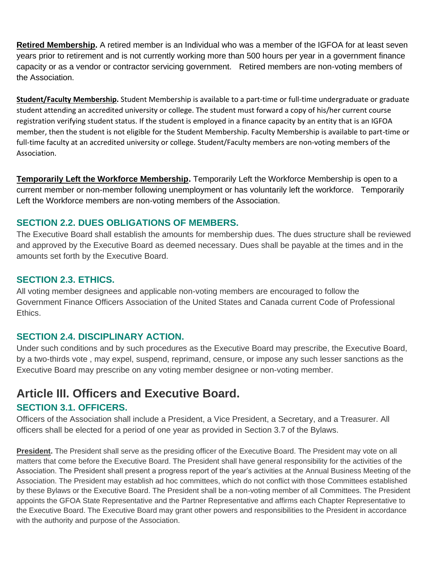**Retired Membership.** A retired member is an Individual who was a member of the IGFOA for at least seven years prior to retirement and is not currently working more than 500 hours per year in a government finance capacity or as a vendor or contractor servicing government. Retired members are non-voting members of the Association.

**Student/Faculty Membership.** Student Membership is available to a part-time or full-time undergraduate or graduate student attending an accredited university or college. The student must forward a copy of his/her current course registration verifying student status. If the student is employed in a finance capacity by an entity that is an IGFOA member, then the student is not eligible for the Student Membership. Faculty Membership is available to part-time or full-time faculty at an accredited university or college. Student/Faculty members are non-voting members of the Association.

**Temporarily Left the Workforce Membership.** Temporarily Left the Workforce Membership is open to a current member or non-member following unemployment or has voluntarily left the workforce. Temporarily Left the Workforce members are non-voting members of the Association.

### **SECTION 2.2. DUES OBLIGATIONS OF MEMBERS.**

The Executive Board shall establish the amounts for membership dues. The dues structure shall be reviewed and approved by the Executive Board as deemed necessary. Dues shall be payable at the times and in the amounts set forth by the Executive Board.

#### **SECTION 2.3. ETHICS.**

All voting member designees and applicable non-voting members are encouraged to follow the Government Finance Officers Association of the United States and Canada current Code of Professional **Ethics** 

#### **SECTION 2.4. DISCIPLINARY ACTION.**

Under such conditions and by such procedures as the Executive Board may prescribe, the Executive Board, by a two-thirds vote , may expel, suspend, reprimand, censure, or impose any such lesser sanctions as the Executive Board may prescribe on any voting member designee or non-voting member.

# **Article III. Officers and Executive Board.**

#### **SECTION 3.1. OFFICERS.**

Officers of the Association shall include a President, a Vice President, a Secretary, and a Treasurer. All officers shall be elected for a period of one year as provided in Section 3.7 of the Bylaws.

**President.** The President shall serve as the presiding officer of the Executive Board. The President may vote on all matters that come before the Executive Board. The President shall have general responsibility for the activities of the Association. The President shall present a progress report of the year's activities at the Annual Business Meeting of the Association. The President may establish ad hoc committees, which do not conflict with those Committees established by these Bylaws or the Executive Board. The President shall be a non-voting member of all Committees. The President appoints the GFOA State Representative and the Partner Representative and affirms each Chapter Representative to the Executive Board. The Executive Board may grant other powers and responsibilities to the President in accordance with the authority and purpose of the Association.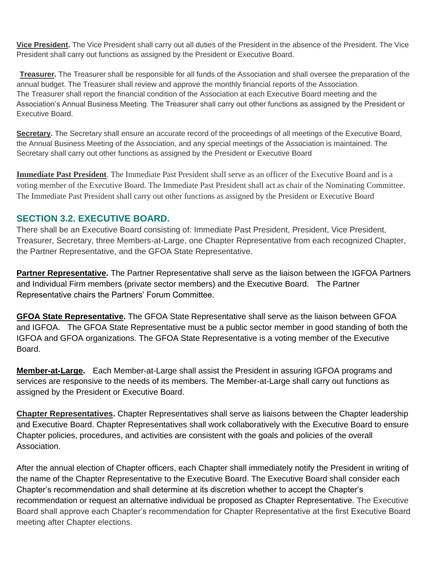**Vice President.** The Vice President shall carry out all duties of the President in the absence of the President. The Vice President shall carry out functions as assigned by the President or Executive Board.

**Treasurer.** The Treasurer shall be responsible for all funds of the Association and shall oversee the preparation of the annual budget. The Treasurer shall review and approve the monthly financial reports of the Association. The Treasurer shall report the financial condition of the Association at each Executive Board meeting and the Association's Annual Business Meeting. The Treasurer shall carry out other functions as assigned by the President or Executive Board.

**Secretary.** The Secretary shall ensure an accurate record of the proceedings of all meetings of the Executive Board, the Annual Business Meeting of the Association, and any special meetings of the Association is maintained. The Secretary shall carry out other functions as assigned by the President or Executive Board

**Immediate Past President**. The Immediate Past President shall serve as an officer of the Executive Board and is a voting member of the Executive Board. The Immediate Past President shall act as chair of the Nominating Committee. The Immediate Past President shall carry out other functions as assigned by the President or Executive Board

#### **SECTION 3.2. EXECUTIVE BOARD.**

There shall be an Executive Board consisting of: Immediate Past President, President, Vice President, Treasurer, Secretary, three Members-at-Large, one Chapter Representative from each recognized Chapter, the Partner Representative, and the GFOA State Representative.

**Partner Representative.** The Partner Representative shall serve as the liaison between the IGFOA Partners and Individual Firm members (private sector members) and the Executive Board. The Partner Representative chairs the Partners' Forum Committee.

**GFOA State Representative.** The GFOA State Representative shall serve as the liaison between GFOA and IGFOA. The GFOA State Representative must be a public sector member in good standing of both the IGFOA and GFOA organizations. The GFOA State Representative is a voting member of the Executive Board.

**Member-at-Large.** Each Member-at-Large shall assist the President in assuring IGFOA programs and services are responsive to the needs of its members. The Member-at-Large shall carry out functions as assigned by the President or Executive Board.

**Chapter Representatives.** Chapter Representatives shall serve as liaisons between the Chapter leadership and Executive Board. Chapter Representatives shall work collaboratively with the Executive Board to ensure Chapter policies, procedures, and activities are consistent with the goals and policies of the overall Association.

After the annual election of Chapter officers, each Chapter shall immediately notify the President in writing of the name of the Chapter Representative to the Executive Board. The Executive Board shall consider each Chapter's recommendation and shall determine at its discretion whether to accept the Chapter's recommendation or request an alternative individual be proposed as Chapter Representative. The Executive Board shall approve each Chapter's recommendation for Chapter Representative at the first Executive Board meeting after Chapter elections.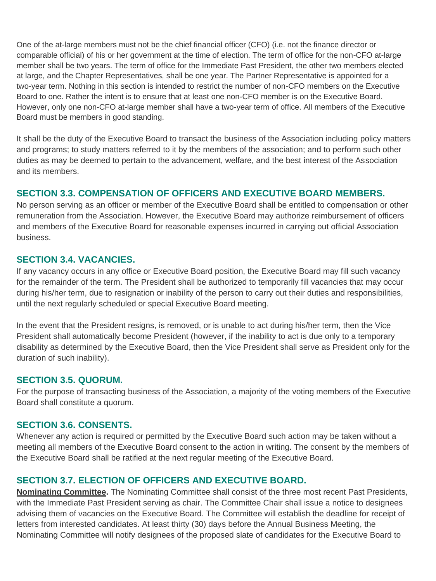One of the at-large members must not be the chief financial officer (CFO) (i.e. not the finance director or comparable official) of his or her government at the time of election. The term of office for the non-CFO at-large member shall be two years. The term of office for the Immediate Past President, the other two members elected at large, and the Chapter Representatives, shall be one year. The Partner Representative is appointed for a two-year term. Nothing in this section is intended to restrict the number of non-CFO members on the Executive Board to one. Rather the intent is to ensure that at least one non-CFO member is on the Executive Board. However, only one non-CFO at-large member shall have a two-year term of office. All members of the Executive Board must be members in good standing.

It shall be the duty of the Executive Board to transact the business of the Association including policy matters and programs; to study matters referred to it by the members of the association; and to perform such other duties as may be deemed to pertain to the advancement, welfare, and the best interest of the Association and its members.

#### **SECTION 3.3. COMPENSATION OF OFFICERS AND EXECUTIVE BOARD MEMBERS.**

No person serving as an officer or member of the Executive Board shall be entitled to compensation or other remuneration from the Association. However, the Executive Board may authorize reimbursement of officers and members of the Executive Board for reasonable expenses incurred in carrying out official Association business.

#### **SECTION 3.4. VACANCIES.**

If any vacancy occurs in any office or Executive Board position, the Executive Board may fill such vacancy for the remainder of the term. The President shall be authorized to temporarily fill vacancies that may occur during his/her term, due to resignation or inability of the person to carry out their duties and responsibilities, until the next regularly scheduled or special Executive Board meeting.

In the event that the President resigns, is removed, or is unable to act during his/her term, then the Vice President shall automatically become President (however, if the inability to act is due only to a temporary disability as determined by the Executive Board, then the Vice President shall serve as President only for the duration of such inability).

#### **SECTION 3.5. QUORUM.**

For the purpose of transacting business of the Association, a majority of the voting members of the Executive Board shall constitute a quorum.

#### **SECTION 3.6. CONSENTS.**

Whenever any action is required or permitted by the Executive Board such action may be taken without a meeting all members of the Executive Board consent to the action in writing. The consent by the members of the Executive Board shall be ratified at the next regular meeting of the Executive Board.

#### **SECTION 3.7. ELECTION OF OFFICERS AND EXECUTIVE BOARD.**

**Nominating Committee.** The Nominating Committee shall consist of the three most recent Past Presidents, with the Immediate Past President serving as chair. The Committee Chair shall issue a notice to designees advising them of vacancies on the Executive Board. The Committee will establish the deadline for receipt of letters from interested candidates. At least thirty (30) days before the Annual Business Meeting, the Nominating Committee will notify designees of the proposed slate of candidates for the Executive Board to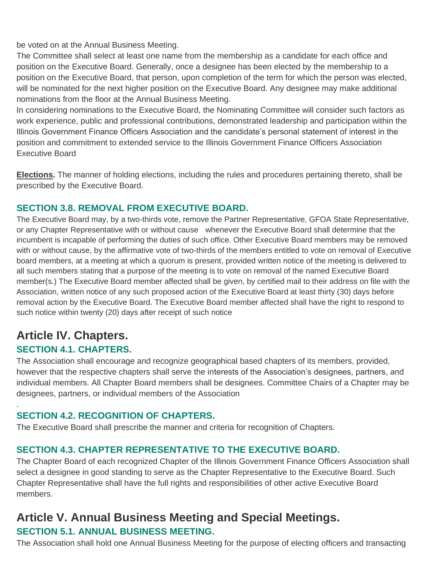be voted on at the Annual Business Meeting.

The Committee shall select at least one name from the membership as a candidate for each office and position on the Executive Board. Generally, once a designee has been elected by the membership to a position on the Executive Board, that person, upon completion of the term for which the person was elected, will be nominated for the next higher position on the Executive Board. Any designee may make additional nominations from the floor at the Annual Business Meeting.

In considering nominations to the Executive Board, the Nominating Committee will consider such factors as work experience, public and professional contributions, demonstrated leadership and participation within the Illinois Government Finance Officers Association and the candidate's personal statement of interest in the position and commitment to extended service to the Illinois Government Finance Officers Association Executive Board

**Elections.** The manner of holding elections, including the rules and procedures pertaining thereto, shall be prescribed by the Executive Board.

## **SECTION 3.8. REMOVAL FROM EXECUTIVE BOARD.**

The Executive Board may, by a two-thirds vote, remove the Partner Representative, GFOA State Representative, or any Chapter Representative with or without cause whenever the Executive Board shall determine that the incumbent is incapable of performing the duties of such office. Other Executive Board members may be removed with or without cause, by the affirmative vote of two-thirds of the members entitled to vote on removal of Executive board members, at a meeting at which a quorum is present, provided written notice of the meeting is delivered to all such members stating that a purpose of the meeting is to vote on removal of the named Executive Board member(s.) The Executive Board member affected shall be given, by certified mail to their address on file with the Association, written notice of any such proposed action of the Executive Board at least thirty (30) days before removal action by the Executive Board. The Executive Board member affected shall have the right to respond to such notice within twenty (20) days after receipt of such notice

## **Article IV. Chapters. SECTION 4.1. CHAPTERS.**

.

The Association shall encourage and recognize geographical based chapters of its members, provided, however that the respective chapters shall serve the interests of the Association's designees, partners, and individual members. All Chapter Board members shall be designees. Committee Chairs of a Chapter may be designees, partners, or individual members of the Association

## **SECTION 4.2. RECOGNITION OF CHAPTERS.**

The Executive Board shall prescribe the manner and criteria for recognition of Chapters.

## **SECTION 4.3. CHAPTER REPRESENTATIVE TO THE EXECUTIVE BOARD.**

The Chapter Board of each recognized Chapter of the Illinois Government Finance Officers Association shall select a designee in good standing to serve as the Chapter Representative to the Executive Board. Such Chapter Representative shall have the full rights and responsibilities of other active Executive Board members.

## **Article V. Annual Business Meeting and Special Meetings. SECTION 5.1. ANNUAL BUSINESS MEETING.**

The Association shall hold one Annual Business Meeting for the purpose of electing officers and transacting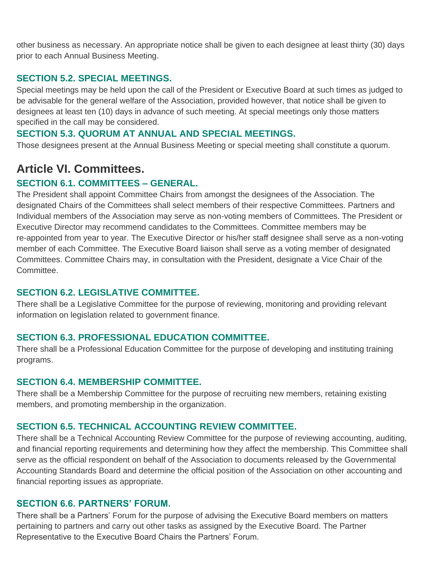other business as necessary. An appropriate notice shall be given to each designee at least thirty (30) days prior to each Annual Business Meeting.

### **SECTION 5.2. SPECIAL MEETINGS.**

Special meetings may be held upon the call of the President or Executive Board at such times as judged to be advisable for the general welfare of the Association, provided however, that notice shall be given to designees at least ten (10) days in advance of such meeting. At special meetings only those matters specified in the call may be considered.

#### **SECTION 5.3. QUORUM AT ANNUAL AND SPECIAL MEETINGS.**

Those designees present at the Annual Business Meeting or special meeting shall constitute a quorum.

## **Article VI. Committees.**

#### **SECTION 6.1. COMMITTEES – GENERAL.**

The President shall appoint Committee Chairs from amongst the designees of the Association. The designated Chairs of the Committees shall select members of their respective Committees. Partners and Individual members of the Association may serve as non-voting members of Committees. The President or Executive Director may recommend candidates to the Committees. Committee members may be re-appointed from year to year. The Executive Director or his/her staff designee shall serve as a non-voting member of each Committee. The Executive Board liaison shall serve as a voting member of designated Committees. Committee Chairs may, in consultation with the President, designate a Vice Chair of the Committee.

#### **SECTION 6.2. LEGISLATIVE COMMITTEE.**

There shall be a Legislative Committee for the purpose of reviewing, monitoring and providing relevant information on legislation related to government finance.

#### **SECTION 6.3. PROFESSIONAL EDUCATION COMMITTEE.**

There shall be a Professional Education Committee for the purpose of developing and instituting training programs.

#### **SECTION 6.4. MEMBERSHIP COMMITTEE.**

There shall be a Membership Committee for the purpose of recruiting new members, retaining existing members, and promoting membership in the organization.

#### **SECTION 6.5. TECHNICAL ACCOUNTING REVIEW COMMITTEE.**

There shall be a Technical Accounting Review Committee for the purpose of reviewing accounting, auditing, and financial reporting requirements and determining how they affect the membership. This Committee shall serve as the official respondent on behalf of the Association to documents released by the Governmental Accounting Standards Board and determine the official position of the Association on other accounting and financial reporting issues as appropriate.

#### **SECTION 6.6. PARTNERS' FORUM.**

There shall be a Partners' Forum for the purpose of advising the Executive Board members on matters pertaining to partners and carry out other tasks as assigned by the Executive Board. The Partner Representative to the Executive Board Chairs the Partners' Forum.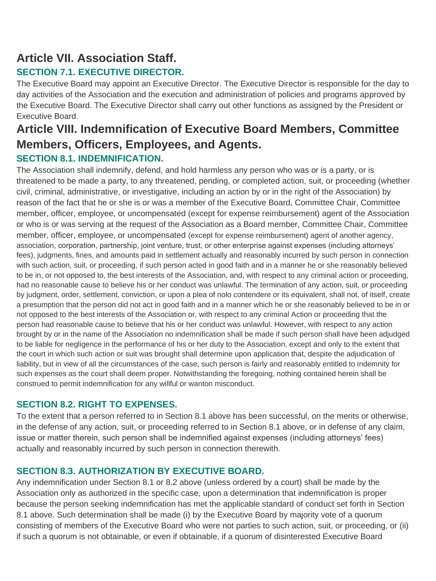# **Article VII. Association Staff.**

## **SECTION 7.1. EXECUTIVE DIRECTOR.**

The Executive Board may appoint an Executive Director. The Executive Director is responsible for the day to day activities of the Association and the execution and administration of policies and programs approved by the Executive Board. The Executive Director shall carry out other functions as assigned by the President or Executive Board.

## **Article VIII. Indemnification of Executive Board Members, Committee Members, Officers, Employees, and Agents. SECTION 8.1. INDEMNIFICATION.**

The Association shall indemnify, defend, and hold harmless any person who was or is a party, or is threatened to be made a party, to any threatened, pending, or completed action, suit, or proceeding (whether civil, criminal, administrative, or investigative, including an action by or in the right of the Association) by reason of the fact that he or she is or was a member of the Executive Board, Committee Chair, Committee member, officer, employee, or uncompensated (except for expense reimbursement) agent of the Association or who is or was serving at the request of the Association as a Board member, Committee Chair, Committee member, officer, employee, or uncompensated (except for expense reimbursement) agent of another agency, association, corporation, partnership, joint venture, trust, or other enterprise against expenses (including attorneys' fees), judgments, fines, and amounts paid in settlement actually and reasonably incurred by such person in connection with such action, suit, or proceeding, if such person acted in good faith and in a manner he or she reasonably believed to be in, or not opposed to, the best interests of the Association, and, with respect to any criminal action or proceeding, had no reasonable cause to believe his or her conduct was unlawful. The termination of any action, suit, or proceeding by judgment, order, settlement, conviction, or upon a plea of nolo contendere or its equivalent, shall not, of itself, create a presumption that the person did not act in good faith and in a manner which he or she reasonably believed to be in or not opposed to the best interests of the Association or, with respect to any criminal Action or proceeding that the person had reasonable cause to believe that his or her conduct was unlawful. However, with respect to any action brought by or in the name of the Association no indemnification shall be made if such person shall have been adjudged to be liable for negligence in the performance of his or her duty to the Association, except and only to the extent that the court in which such action or suit was brought shall determine upon application that, despite the adjudication of liability, but in view of all the circumstances of the case, such person is fairly and reasonably entitled to indemnity for such expenses as the court shall deem proper. Notwithstanding the foregoing, nothing contained herein shall be construed to permit indemnification for any willful or wanton misconduct.

## **SECTION 8.2. RIGHT TO EXPENSES.**

To the extent that a person referred to in Section 8.1 above has been successful, on the merits or otherwise, in the defense of any action, suit, or proceeding referred to in Section 8.1 above, or in defense of any claim, issue or matter therein, such person shall be indemnified against expenses (including attorneys' fees) actually and reasonably incurred by such person in connection therewith.

## **SECTION 8.3. AUTHORIZATION BY EXECUTIVE BOARD.**

Any indemnification under Section 8.1 or 8.2 above (unless ordered by a court) shall be made by the Association only as authorized in the specific case, upon a determination that indemnification is proper because the person seeking indemnification has met the applicable standard of conduct set forth in Section 8.1 above. Such determination shall be made (i) by the Executive Board by majority vote of a quorum consisting of members of the Executive Board who were not parties to such action, suit, or proceeding, or (ii) if such a quorum is not obtainable, or even if obtainable, if a quorum of disinterested Executive Board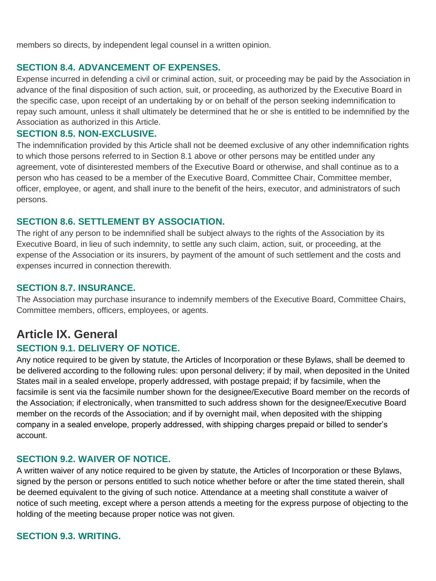members so directs, by independent legal counsel in a written opinion.

#### **SECTION 8.4. ADVANCEMENT OF EXPENSES.**

Expense incurred in defending a civil or criminal action, suit, or proceeding may be paid by the Association in advance of the final disposition of such action, suit, or proceeding, as authorized by the Executive Board in the specific case, upon receipt of an undertaking by or on behalf of the person seeking indemnification to repay such amount, unless it shall ultimately be determined that he or she is entitled to be indemnified by the Association as authorized in this Article.

#### **SECTION 8.5. NON-EXCLUSIVE.**

The indemnification provided by this Article shall not be deemed exclusive of any other indemnification rights to which those persons referred to in Section 8.1 above or other persons may be entitled under any agreement, vote of disinterested members of the Executive Board or otherwise, and shall continue as to a person who has ceased to be a member of the Executive Board, Committee Chair, Committee member, officer, employee, or agent, and shall inure to the benefit of the heirs, executor, and administrators of such persons.

#### **SECTION 8.6. SETTLEMENT BY ASSOCIATION.**

The right of any person to be indemnified shall be subject always to the rights of the Association by its Executive Board, in lieu of such indemnity, to settle any such claim, action, suit, or proceeding, at the expense of the Association or its insurers, by payment of the amount of such settlement and the costs and expenses incurred in connection therewith.

## **SECTION 8.7. INSURANCE.**

The Association may purchase insurance to indemnify members of the Executive Board, Committee Chairs, Committee members, officers, employees, or agents.

# **Article IX. General**

## **SECTION 9.1. DELIVERY OF NOTICE.**

Any notice required to be given by statute, the Articles of Incorporation or these Bylaws, shall be deemed to be delivered according to the following rules: upon personal delivery; if by mail, when deposited in the United States mail in a sealed envelope, properly addressed, with postage prepaid; if by facsimile, when the facsimile is sent via the facsimile number shown for the designee/Executive Board member on the records of the Association; if electronically, when transmitted to such address shown for the designee/Executive Board member on the records of the Association; and if by overnight mail, when deposited with the shipping company in a sealed envelope, properly addressed, with shipping charges prepaid or billed to sender's account.

#### **SECTION 9.2. WAIVER OF NOTICE.**

A written waiver of any notice required to be given by statute, the Articles of Incorporation or these Bylaws, signed by the person or persons entitled to such notice whether before or after the time stated therein, shall be deemed equivalent to the giving of such notice. Attendance at a meeting shall constitute a waiver of notice of such meeting, except where a person attends a meeting for the express purpose of objecting to the holding of the meeting because proper notice was not given.

#### **SECTION 9.3. WRITING.**